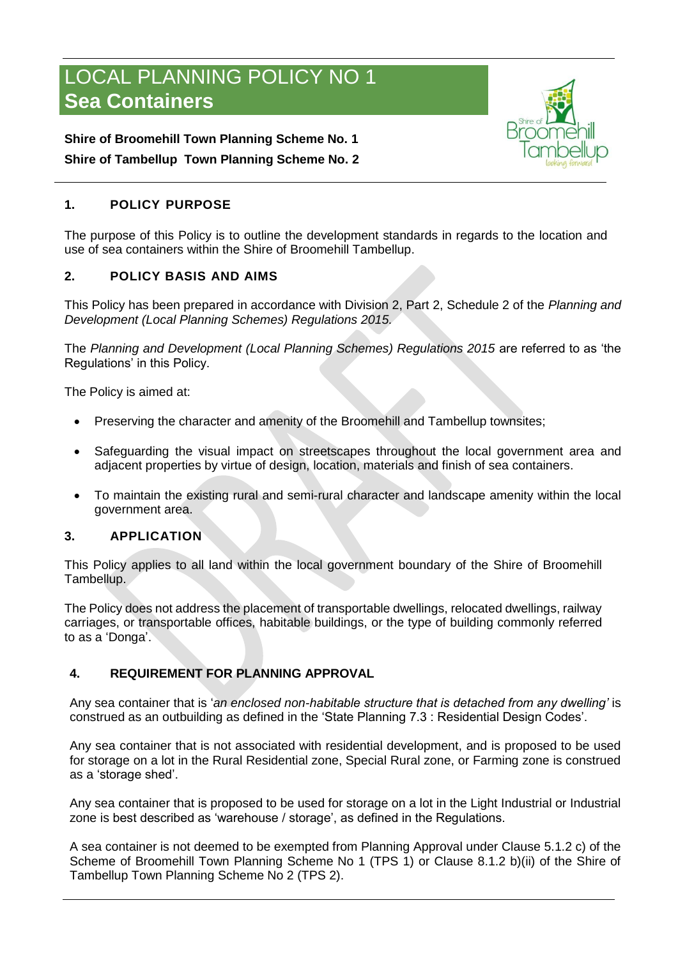# LOCAL PLANNING POLICY NO 1 **Sea Containers**



## **Shire of Broomehill Town Planning Scheme No. 1 Shire of Tambellup Town Planning Scheme No. 2**

## **1. POLICY PURPOSE**

The purpose of this Policy is to outline the development standards in regards to the location and use of sea containers within the Shire of Broomehill Tambellup.

## **2. POLICY BASIS AND AIMS**

This Policy has been prepared in accordance with Division 2, Part 2, Schedule 2 of the *Planning and Development (Local Planning Schemes) Regulations 2015.*

The *Planning and Development (Local Planning Schemes) Regulations 2015* are referred to as 'the Regulations' in this Policy.

The Policy is aimed at:

- Preserving the character and amenity of the Broomehill and Tambellup townsites;
- Safeguarding the visual impact on streetscapes throughout the local government area and adjacent properties by virtue of design, location, materials and finish of sea containers.
- To maintain the existing rural and semi-rural character and landscape amenity within the local government area.

## **3. APPLICATION**

This Policy applies to all land within the local government boundary of the Shire of Broomehill Tambellup.

The Policy does not address the placement of transportable dwellings, relocated dwellings, railway carriages, or transportable offices, habitable buildings, or the type of building commonly referred to as a 'Donga'.

## **4. REQUIREMENT FOR PLANNING APPROVAL**

Any sea container that is '*an enclosed non-habitable structure that is detached from any dwelling'* is construed as an outbuilding as defined in the 'State Planning 7.3 : Residential Design Codes'.

Any sea container that is not associated with residential development, and is proposed to be used for storage on a lot in the Rural Residential zone, Special Rural zone, or Farming zone is construed as a 'storage shed'.

Any sea container that is proposed to be used for storage on a lot in the Light Industrial or Industrial zone is best described as 'warehouse / storage', as defined in the Regulations.

A sea container is not deemed to be exempted from Planning Approval under Clause 5.1.2 c) of the Scheme of Broomehill Town Planning Scheme No 1 (TPS 1) or Clause 8.1.2 b)(ii) of the Shire of Tambellup Town Planning Scheme No 2 (TPS 2).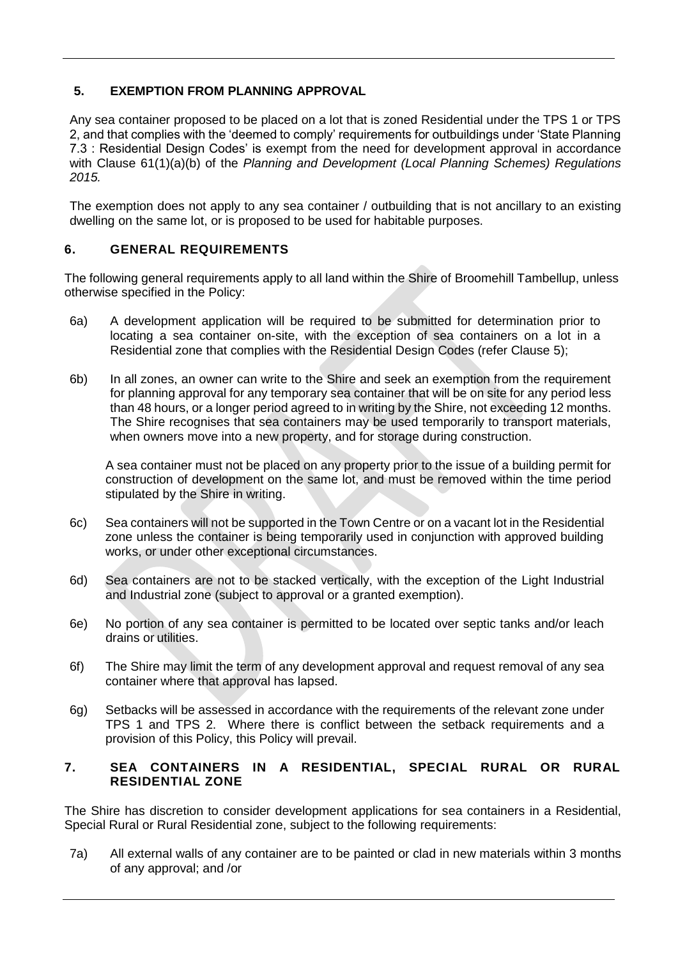### **5. EXEMPTION FROM PLANNING APPROVAL**

Any sea container proposed to be placed on a lot that is zoned Residential under the TPS 1 or TPS 2, and that complies with the 'deemed to comply' requirements for outbuildings under 'State Planning 7.3 : Residential Design Codes' is exempt from the need for development approval in accordance with Clause 61(1)(a)(b) of the *Planning and Development (Local Planning Schemes) Regulations 2015.*

The exemption does not apply to any sea container / outbuilding that is not ancillary to an existing dwelling on the same lot, or is proposed to be used for habitable purposes.

#### **6. GENERAL REQUIREMENTS**

The following general requirements apply to all land within the Shire of Broomehill Tambellup, unless otherwise specified in the Policy:

- 6a) A development application will be required to be submitted for determination prior to locating a sea container on-site, with the exception of sea containers on a lot in a Residential zone that complies with the Residential Design Codes (refer Clause 5);
- 6b) In all zones, an owner can write to the Shire and seek an exemption from the requirement for planning approval for any temporary sea container that will be on site for any period less than 48 hours, or a longer period agreed to in writing by the Shire, not exceeding 12 months. The Shire recognises that sea containers may be used temporarily to transport materials, when owners move into a new property, and for storage during construction.

A sea container must not be placed on any property prior to the issue of a building permit for construction of development on the same lot, and must be removed within the time period stipulated by the Shire in writing.

- 6c) Sea containers will not be supported in the Town Centre or on a vacant lot in the Residential zone unless the container is being temporarily used in conjunction with approved building works, or under other exceptional circumstances.
- 6d) Sea containers are not to be stacked vertically, with the exception of the Light Industrial and Industrial zone (subject to approval or a granted exemption).
- 6e) No portion of any sea container is permitted to be located over septic tanks and/or leach drains or utilities.
- 6f) The Shire may limit the term of any development approval and request removal of any sea container where that approval has lapsed.
- 6g) Setbacks will be assessed in accordance with the requirements of the relevant zone under TPS 1 and TPS 2. Where there is conflict between the setback requirements and a provision of this Policy, this Policy will prevail.

#### **7. SEA CONTAINERS IN A RESIDENTIAL, SPECIAL RURAL OR RURAL RESIDENTIAL ZONE**

The Shire has discretion to consider development applications for sea containers in a Residential, Special Rural or Rural Residential zone, subject to the following requirements:

7a) All external walls of any container are to be painted or clad in new materials within 3 months of any approval; and /or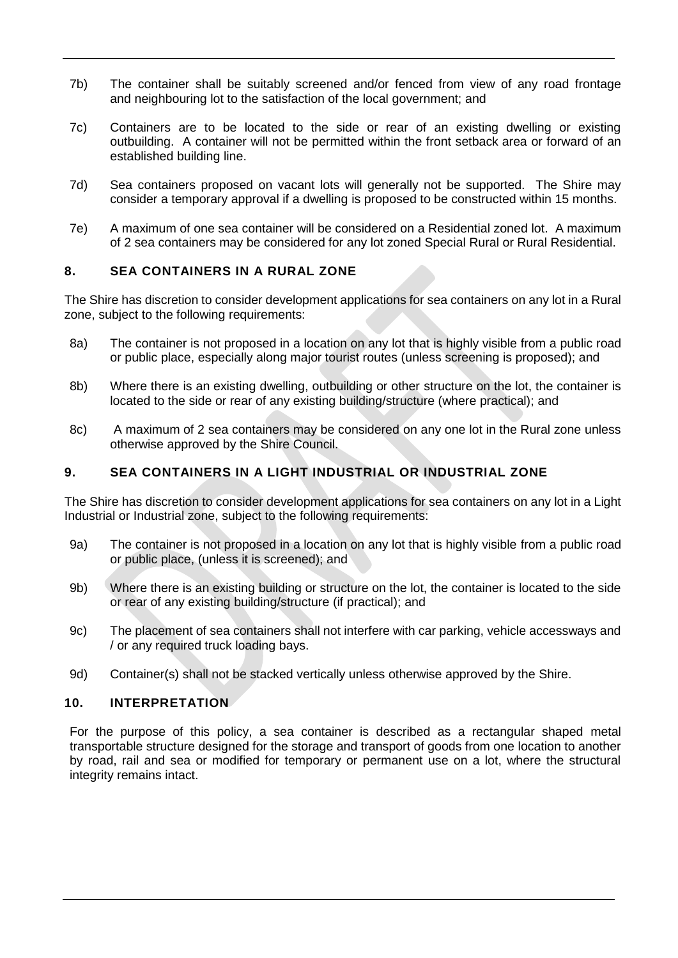- 7b) The container shall be suitably screened and/or fenced from view of any road frontage and neighbouring lot to the satisfaction of the local government; and
- 7c) Containers are to be located to the side or rear of an existing dwelling or existing outbuilding. A container will not be permitted within the front setback area or forward of an established building line.
- 7d) Sea containers proposed on vacant lots will generally not be supported. The Shire may consider a temporary approval if a dwelling is proposed to be constructed within 15 months.
- 7e) A maximum of one sea container will be considered on a Residential zoned lot. A maximum of 2 sea containers may be considered for any lot zoned Special Rural or Rural Residential.

#### **8. SEA CONTAINERS IN A RURAL ZONE**

The Shire has discretion to consider development applications for sea containers on any lot in a Rural zone, subject to the following requirements:

- 8a) The container is not proposed in a location on any lot that is highly visible from a public road or public place, especially along major tourist routes (unless screening is proposed); and
- 8b) Where there is an existing dwelling, outbuilding or other structure on the lot, the container is located to the side or rear of any existing building/structure (where practical); and
- 8c) A maximum of 2 sea containers may be considered on any one lot in the Rural zone unless otherwise approved by the Shire Council.

#### **9. SEA CONTAINERS IN A LIGHT INDUSTRIAL OR INDUSTRIAL ZONE**

The Shire has discretion to consider development applications for sea containers on any lot in a Light Industrial or Industrial zone, subject to the following requirements:

- 9a) The container is not proposed in a location on any lot that is highly visible from a public road or public place, (unless it is screened); and
- 9b) Where there is an existing building or structure on the lot, the container is located to the side or rear of any existing building/structure (if practical); and
- 9c) The placement of sea containers shall not interfere with car parking, vehicle accessways and / or any required truck loading bays.
- 9d) Container(s) shall not be stacked vertically unless otherwise approved by the Shire.

#### **10. INTERPRETATION**

For the purpose of this policy, a sea container is described as a rectangular shaped metal transportable structure designed for the storage and transport of goods from one location to another by road, rail and sea or modified for temporary or permanent use on a lot, where the structural integrity remains intact.